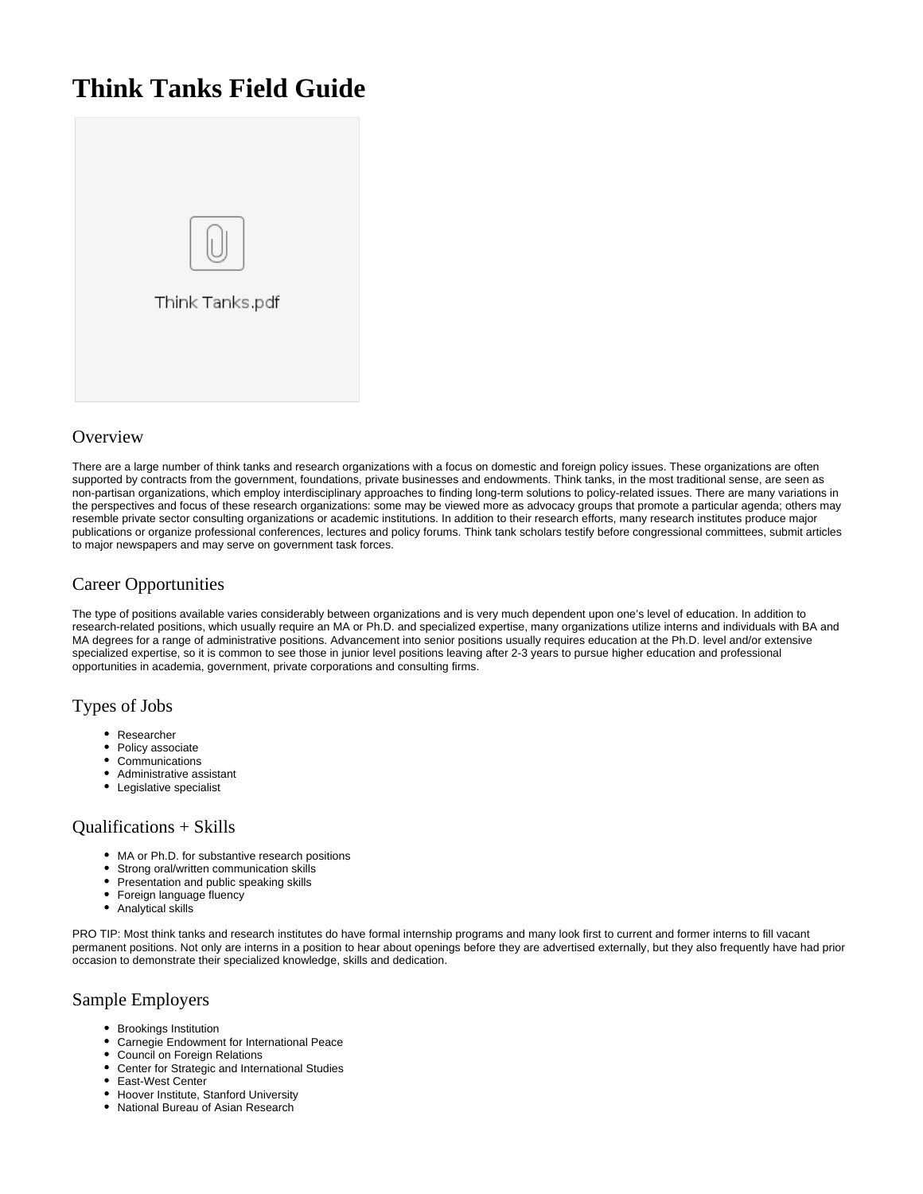# **Think Tanks Field Guide**



### **Overview**

There are a large number of think tanks and research organizations with a focus on domestic and foreign policy issues. These organizations are often supported by contracts from the government, foundations, private businesses and endowments. Think tanks, in the most traditional sense, are seen as non-partisan organizations, which employ interdisciplinary approaches to finding long-term solutions to policy-related issues. There are many variations in the perspectives and focus of these research organizations: some may be viewed more as advocacy groups that promote a particular agenda; others may resemble private sector consulting organizations or academic institutions. In addition to their research efforts, many research institutes produce major publications or organize professional conferences, lectures and policy forums. Think tank scholars testify before congressional committees, submit articles to major newspapers and may serve on government task forces.

## Career Opportunities

The type of positions available varies considerably between organizations and is very much dependent upon one's level of education. In addition to research-related positions, which usually require an MA or Ph.D. and specialized expertise, many organizations utilize interns and individuals with BA and MA degrees for a range of administrative positions. Advancement into senior positions usually requires education at the Ph.D. level and/or extensive specialized expertise, so it is common to see those in junior level positions leaving after 2-3 years to pursue higher education and professional opportunities in academia, government, private corporations and consulting firms.

#### Types of Jobs

- Researcher
- Policy associate  $\bullet$
- **Communications**
- Administrative assistant
- Legislative specialist

#### Qualifications + Skills

- MA or Ph.D. for substantive research positions
- Strong oral/written communication skills
- $\bullet$ Presentation and public speaking skills
- Foreign language fluency
- Analytical skills

PRO TIP: Most think tanks and research institutes do have formal internship programs and many look first to current and former interns to fill vacant permanent positions. Not only are interns in a position to hear about openings before they are advertised externally, but they also frequently have had prior occasion to demonstrate their specialized knowledge, skills and dedication.

#### Sample Employers

- Brookings Institution
- Carnegie Endowment for International Peace
- Council on Foreign Relations
- Center for Strategic and International Studies
- East-West Center
- Hoover Institute, Stanford University
- National Bureau of Asian Research